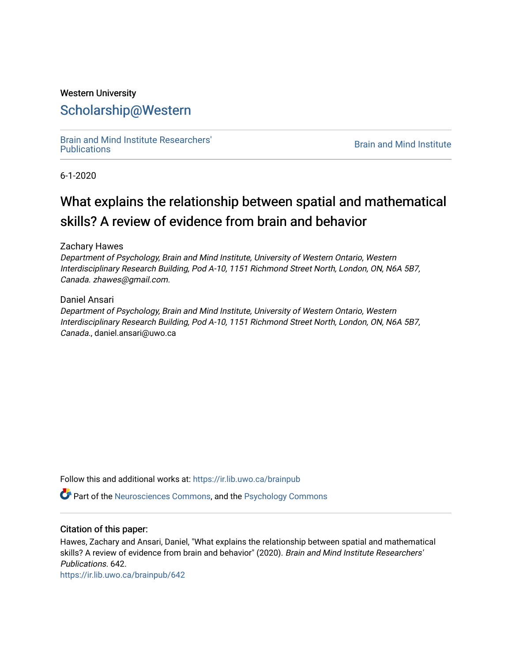## Western University [Scholarship@Western](https://ir.lib.uwo.ca/)

[Brain and Mind Institute Researchers'](https://ir.lib.uwo.ca/brainpub) 

**Brain and Mind Institute** 

6-1-2020

## What explains the relationship between spatial and mathematical skills? A review of evidence from brain and behavior

Zachary Hawes

Department of Psychology, Brain and Mind Institute, University of Western Ontario, Western Interdisciplinary Research Building, Pod A-10, 1151 Richmond Street North, London, ON, N6A 5B7, Canada. zhawes@gmail.com.

Daniel Ansari Department of Psychology, Brain and Mind Institute, University of Western Ontario, Western Interdisciplinary Research Building, Pod A-10, 1151 Richmond Street North, London, ON, N6A 5B7, Canada., daniel.ansari@uwo.ca

Follow this and additional works at: [https://ir.lib.uwo.ca/brainpub](https://ir.lib.uwo.ca/brainpub?utm_source=ir.lib.uwo.ca%2Fbrainpub%2F642&utm_medium=PDF&utm_campaign=PDFCoverPages)

Part of the [Neurosciences Commons](http://network.bepress.com/hgg/discipline/1010?utm_source=ir.lib.uwo.ca%2Fbrainpub%2F642&utm_medium=PDF&utm_campaign=PDFCoverPages), and the [Psychology Commons](http://network.bepress.com/hgg/discipline/404?utm_source=ir.lib.uwo.ca%2Fbrainpub%2F642&utm_medium=PDF&utm_campaign=PDFCoverPages) 

#### Citation of this paper:

Hawes, Zachary and Ansari, Daniel, "What explains the relationship between spatial and mathematical skills? A review of evidence from brain and behavior" (2020). Brain and Mind Institute Researchers' Publications. 642.

[https://ir.lib.uwo.ca/brainpub/642](https://ir.lib.uwo.ca/brainpub/642?utm_source=ir.lib.uwo.ca%2Fbrainpub%2F642&utm_medium=PDF&utm_campaign=PDFCoverPages)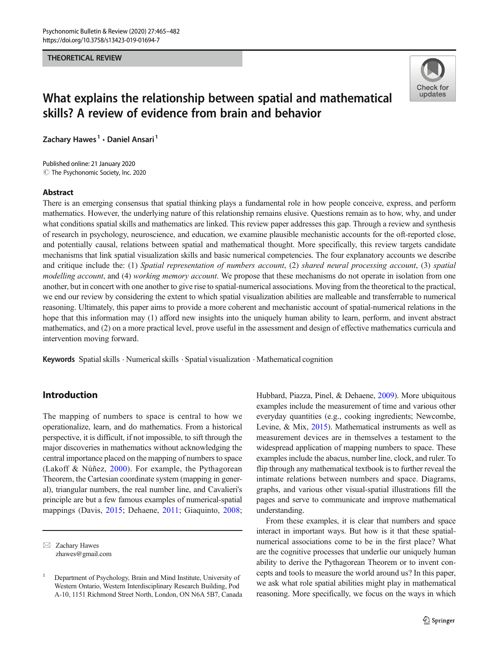#### THEORETICAL REVIEW

# Check for undates

### What explains the relationship between spatial and mathematical skills? A review of evidence from brain and behavior

Zachary Hawes<sup>1</sup> . Daniel Ansari<sup>1</sup>

 $\odot$  The Psychonomic Society, Inc. 2020 Published online: 21 January 2020

#### Abstract

There is an emerging consensus that spatial thinking plays a fundamental role in how people conceive, express, and perform mathematics. However, the underlying nature of this relationship remains elusive. Questions remain as to how, why, and under what conditions spatial skills and mathematics are linked. This review paper addresses this gap. Through a review and synthesis of research in psychology, neuroscience, and education, we examine plausible mechanistic accounts for the oft-reported close, and potentially causal, relations between spatial and mathematical thought. More specifically, this review targets candidate mechanisms that link spatial visualization skills and basic numerical competencies. The four explanatory accounts we describe and critique include the: (1) Spatial representation of numbers account, (2) shared neural processing account, (3) spatial modelling account, and (4) working memory account. We propose that these mechanisms do not operate in isolation from one another, but in concert with one another to give rise to spatial-numerical associations. Moving from the theoretical to the practical, we end our review by considering the extent to which spatial visualization abilities are malleable and transferrable to numerical reasoning. Ultimately, this paper aims to provide a more coherent and mechanistic account of spatial-numerical relations in the hope that this information may (1) afford new insights into the uniquely human ability to learn, perform, and invent abstract mathematics, and (2) on a more practical level, prove useful in the assessment and design of effective mathematics curricula and intervention moving forward.

Keywords Spatial skills · Numerical skills · Spatial visualization · Mathematical cognition

#### Introduction

The mapping of numbers to space is central to how we operationalize, learn, and do mathematics. From a historical perspective, it is difficult, if not impossible, to sift through the major discoveries in mathematics without acknowledging the central importance placed on the mapping of numbers to space (Lakoff & Núñez, [2000\)](#page-17-0). For example, the Pythagorean Theorem, the Cartesian coordinate system (mapping in general), triangular numbers, the real number line, and Cavalieri's principle are but a few famous examples of numerical-spatial mappings (Davis, [2015](#page-16-0); Dehaene, [2011;](#page-16-0) Giaquinto, [2008](#page-16-0); Hubbard, Piazza, Pinel, & Dehaene, [2009\)](#page-17-0). More ubiquitous examples include the measurement of time and various other everyday quantities (e.g., cooking ingredients; Newcombe, Levine, & Mix, [2015](#page-17-0)). Mathematical instruments as well as measurement devices are in themselves a testament to the widespread application of mapping numbers to space. These examples include the abacus, number line, clock, and ruler. To flip through any mathematical textbook is to further reveal the intimate relations between numbers and space. Diagrams, graphs, and various other visual-spatial illustrations fill the pages and serve to communicate and improve mathematical understanding.

From these examples, it is clear that numbers and space interact in important ways. But how is it that these spatialnumerical associations come to be in the first place? What are the cognitive processes that underlie our uniquely human ability to derive the Pythagorean Theorem or to invent concepts and tools to measure the world around us? In this paper, we ask what role spatial abilities might play in mathematical reasoning. More specifically, we focus on the ways in which

 $\boxtimes$  Zachary Hawes [zhawes@gmail.com](mailto:zhawes@gmail.com)

<sup>1</sup> Department of Psychology, Brain and Mind Institute, University of Western Ontario, Western Interdisciplinary Research Building, Pod A-10, 1151 Richmond Street North, London, ON N6A 5B7, Canada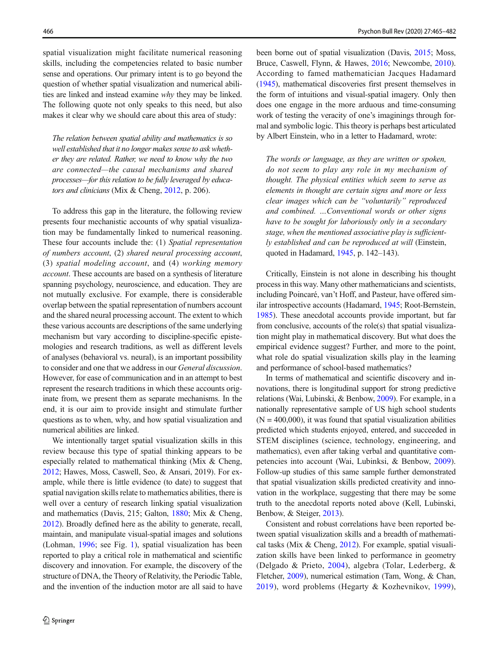spatial visualization might facilitate numerical reasoning skills, including the competencies related to basic number sense and operations. Our primary intent is to go beyond the question of whether spatial visualization and numerical abilities are linked and instead examine why they may be linked. The following quote not only speaks to this need, but also makes it clear why we should care about this area of study:

The relation between spatial ability and mathematics is so well established that it no longer makes sense to ask whether they are related. Rather, we need to know why the two are connected—the causal mechanisms and shared processes—for this relation to be fully leveraged by educators and clinicians (Mix & Cheng, [2012,](#page-17-0) p. 206).

To address this gap in the literature, the following review presents four mechanistic accounts of why spatial visualization may be fundamentally linked to numerical reasoning. These four accounts include the: (1) Spatial representation of numbers account, (2) shared neural processing account, (3) spatial modeling account, and (4) working memory account. These accounts are based on a synthesis of literature spanning psychology, neuroscience, and education. They are not mutually exclusive. For example, there is considerable overlap between the spatial representation of numbers account and the shared neural processing account. The extent to which these various accounts are descriptions of the same underlying mechanism but vary according to discipline-specific epistemologies and research traditions, as well as different levels of analyses (behavioral vs. neural), is an important possibility to consider and one that we address in our General discussion. However, for ease of communication and in an attempt to best represent the research traditions in which these accounts originate from, we present them as separate mechanisms. In the end, it is our aim to provide insight and stimulate further questions as to when, why, and how spatial visualization and numerical abilities are linked.

We intentionally target spatial visualization skills in this review because this type of spatial thinking appears to be especially related to mathematical thinking (Mix & Cheng, [2012;](#page-17-0) Hawes, Moss, Caswell, Seo, & Ansari, 2019). For example, while there is little evidence (to date) to suggest that spatial navigation skills relate to mathematics abilities, there is well over a century of research linking spatial visualization and mathematics (Davis, 215; Galton, [1880;](#page-16-0) Mix & Cheng, [2012\)](#page-17-0). Broadly defined here as the ability to generate, recall, maintain, and manipulate visual-spatial images and solutions (Lohman, [1996](#page-17-0); see Fig. [1\)](#page-3-0), spatial visualization has been reported to play a critical role in mathematical and scientific discovery and innovation. For example, the discovery of the structure of DNA, the Theory of Relativity, the Periodic Table, and the invention of the induction motor are all said to have been borne out of spatial visualization (Davis, [2015](#page-16-0); Moss, Bruce, Caswell, Flynn, & Hawes, [2016](#page-17-0); Newcombe, [2010\)](#page-17-0). According to famed mathematician Jacques Hadamard [\(1945\)](#page-16-0), mathematical discoveries first present themselves in the form of intuitions and visual-spatial imagery. Only then does one engage in the more arduous and time-consuming work of testing the veracity of one's imaginings through formal and symbolic logic. This theory is perhaps best articulated by Albert Einstein, who in a letter to Hadamard, wrote:

The words or language, as they are written or spoken, do not seem to play any role in my mechanism of thought. The physical entities which seem to serve as elements in thought are certain signs and more or less clear images which can be "voluntarily" reproduced and combined. …Conventional words or other signs have to be sought for laboriously only in a secondary stage, when the mentioned associative play is sufficiently established and can be reproduced at will (Einstein, quoted in Hadamard, [1945,](#page-16-0) p. 142–143).

Critically, Einstein is not alone in describing his thought process in this way. Many other mathematicians and scientists, including Poincaré, van't Hoff, and Pasteur, have offered similar introspective accounts (Hadamard, [1945;](#page-16-0) Root-Bernstein, [1985\)](#page-18-0). These anecdotal accounts provide important, but far from conclusive, accounts of the role(s) that spatial visualization might play in mathematical discovery. But what does the empirical evidence suggest? Further, and more to the point, what role do spatial visualization skills play in the learning and performance of school-based mathematics?

In terms of mathematical and scientific discovery and innovations, there is longitudinal support for strong predictive relations (Wai, Lubinski, & Benbow, [2009](#page-18-0)). For example, in a nationally representative sample of US high school students  $(N = 400,000)$ , it was found that spatial visualization abilities predicted which students enjoyed, entered, and succeeded in STEM disciplines (science, technology, engineering, and mathematics), even after taking verbal and quantitative competencies into account (Wai, Lubinksi, & Benbow, [2009\)](#page-18-0). Follow-up studies of this same sample further demonstrated that spatial visualization skills predicted creativity and innovation in the workplace, suggesting that there may be some truth to the anecdotal reports noted above (Kell, Lubinski, Benbow, & Steiger, [2013\)](#page-17-0).

Consistent and robust correlations have been reported between spatial visualization skills and a breadth of mathematical tasks (Mix & Cheng, [2012](#page-17-0)). For example, spatial visualization skills have been linked to performance in geometry (Delgado & Prieto, [2004](#page-16-0)), algebra (Tolar, Lederberg, & Fletcher, [2009](#page-18-0)), numerical estimation (Tam, Wong, & Chan, [2019\)](#page-18-0), word problems (Hegarty & Kozhevnikov, [1999](#page-17-0)),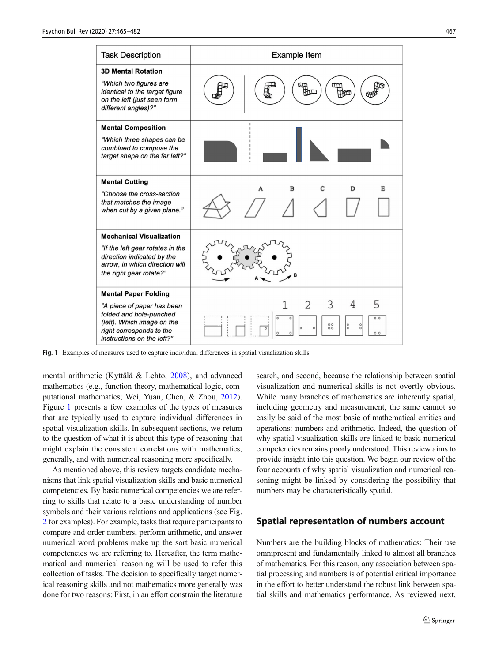<span id="page-3-0"></span>

Fig. 1 Examples of measures used to capture individual differences in spatial visualization skills

mental arithmetic (Kyttälä & Lehto, [2008\)](#page-17-0), and advanced mathematics (e.g., function theory, mathematical logic, computational mathematics; Wei, Yuan, Chen, & Zhou, [2012](#page-18-0)). Figure 1 presents a few examples of the types of measures that are typically used to capture individual differences in spatial visualization skills. In subsequent sections, we return to the question of what it is about this type of reasoning that might explain the consistent correlations with mathematics, generally, and with numerical reasoning more specifically.

As mentioned above, this review targets candidate mechanisms that link spatial visualization skills and basic numerical competencies. By basic numerical competencies we are referring to skills that relate to a basic understanding of number symbols and their various relations and applications (see Fig. [2](#page-4-0) for examples). For example, tasks that require participants to compare and order numbers, perform arithmetic, and answer numerical word problems make up the sort basic numerical competencies we are referring to. Hereafter, the term mathematical and numerical reasoning will be used to refer this collection of tasks. The decision to specifically target numerical reasoning skills and not mathematics more generally was done for two reasons: First, in an effort constrain the literature search, and second, because the relationship between spatial visualization and numerical skills is not overtly obvious. While many branches of mathematics are inherently spatial, including geometry and measurement, the same cannot so easily be said of the most basic of mathematical entities and operations: numbers and arithmetic. Indeed, the question of why spatial visualization skills are linked to basic numerical competencies remains poorly understood. This review aims to provide insight into this question. We begin our review of the four accounts of why spatial visualization and numerical reasoning might be linked by considering the possibility that numbers may be characteristically spatial.

#### Spatial representation of numbers account

Numbers are the building blocks of mathematics: Their use omnipresent and fundamentally linked to almost all branches of mathematics. For this reason, any association between spatial processing and numbers is of potential critical importance in the effort to better understand the robust link between spatial skills and mathematics performance. As reviewed next,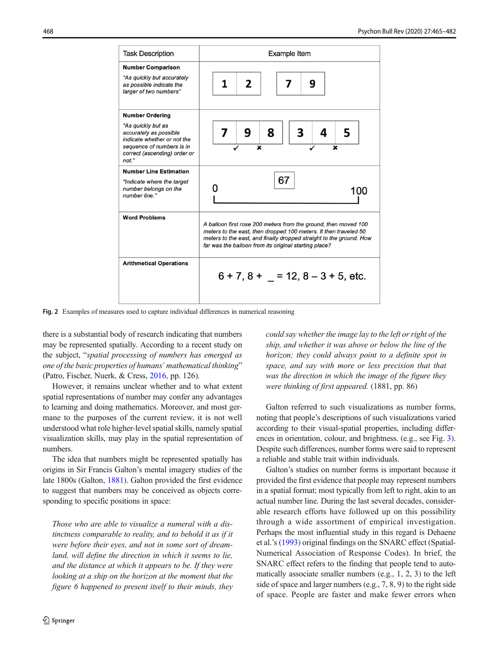<span id="page-4-0"></span>

Fig. 2 Examples of measures used to capture individual differences in numerical reasoning

there is a substantial body of research indicating that numbers may be represented spatially. According to a recent study on the subject, "spatial processing of numbers has emerged as one of the basic properties of humans' mathematical thinking" (Patro, Fischer, Nuerk, & Cress, [2016](#page-17-0), pp. 126).

However, it remains unclear whether and to what extent spatial representations of number may confer any advantages to learning and doing mathematics. Moreover, and most germane to the purposes of the current review, it is not well understood what role higher-level spatial skills, namely spatial visualization skills, may play in the spatial representation of numbers.

The idea that numbers might be represented spatially has origins in Sir Francis Galton's mental imagery studies of the late 1800s (Galton, [1881\)](#page-16-0). Galton provided the first evidence to suggest that numbers may be conceived as objects corresponding to specific positions in space:

Those who are able to visualize a numeral with a distinctness comparable to reality, and to behold it as if it were before their eyes, and not in some sort of dreamland, will define the direction in which it seems to lie, and the distance at which it appears to be. If they were looking at a ship on the horizon at the moment that the figure 6 happened to present itself to their minds, they could say whether the image lay to the left or right of the ship, and whether it was above or below the line of the horizon; they could always point to a definite spot in space, and say with more or less precision that that was the direction in which the image of the figure they were thinking of first appeared. (1881, pp. 86)

Galton referred to such visualizations as number forms, noting that people's descriptions of such visualizations varied according to their visual-spatial properties, including differences in orientation, colour, and brightness. (e.g., see Fig. [3\)](#page-5-0). Despite such differences, number forms were said to represent a reliable and stable trait within individuals.

Galton's studies on number forms is important because it provided the first evidence that people may represent numbers in a spatial format; most typically from left to right, akin to an actual number line. During the last several decades, considerable research efforts have followed up on this possibility through a wide assortment of empirical investigation. Perhaps the most influential study in this regard is Dehaene et al.'s [\(1993\)](#page-16-0) original findings on the SNARC effect (Spatial-Numerical Association of Response Codes). In brief, the SNARC effect refers to the finding that people tend to automatically associate smaller numbers (e.g., 1, 2, 3) to the left side of space and larger numbers (e.g., 7, 8, 9) to the right side of space. People are faster and make fewer errors when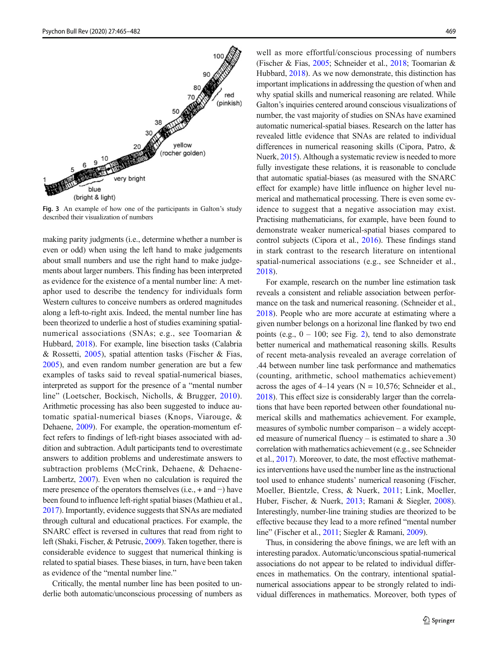<span id="page-5-0"></span>

Fig. 3 An example of how one of the participants in Galton's study described their visualization of numbers

making parity judgments (i.e., determine whether a number is even or odd) when using the left hand to make judgements about small numbers and use the right hand to make judgements about larger numbers. This finding has been interpreted as evidence for the existence of a mental number line: A metaphor used to describe the tendency for individuals form Western cultures to conceive numbers as ordered magnitudes along a left-to-right axis. Indeed, the mental number line has been theorized to underlie a host of studies examining spatialnumerical associations (SNAs; e.g., see Toomarian & Hubbard, [2018](#page-18-0)). For example, line bisection tasks (Calabria & Rossetti, [2005\)](#page-16-0), spatial attention tasks (Fischer & Fias, [2005\)](#page-16-0), and even random number generation are but a few examples of tasks said to reveal spatial-numerical biases, interpreted as support for the presence of a "mental number line" (Loetscher, Bockisch, Nicholls, & Brugger, [2010](#page-17-0)). Arithmetic processing has also been suggested to induce automatic spatial-numerical biases (Knops, Viarouge, & Dehaene, [2009\)](#page-17-0). For example, the operation-momentum effect refers to findings of left-right biases associated with addition and subtraction. Adult participants tend to overestimate answers to addition problems and underestimate answers to subtraction problems (McCrink, Dehaene, & Dehaene-Lambertz, [2007\)](#page-17-0). Even when no calculation is required the mere presence of the operators themselves (i.e., + and −) have been found to influence left-right spatial biases (Mathieu et al., [2017\)](#page-17-0). Importantly, evidence suggests that SNAs are mediated through cultural and educational practices. For example, the SNARC effect is reversed in cultures that read from right to left (Shaki, Fischer, & Petrusic, [2009](#page-18-0)). Taken together, there is considerable evidence to suggest that numerical thinking is related to spatial biases. These biases, in turn, have been taken as evidence of the "mental number line."

Critically, the mental number line has been posited to underlie both automatic/unconscious processing of numbers as well as more effortful/conscious processing of numbers (Fischer & Fias, [2005](#page-16-0); Schneider et al., [2018;](#page-18-0) Toomarian & Hubbard, [2018\)](#page-18-0). As we now demonstrate, this distinction has important implications in addressing the question of when and why spatial skills and numerical reasoning are related. While Galton's inquiries centered around conscious visualizations of number, the vast majority of studies on SNAs have examined automatic numerical-spatial biases. Research on the latter has revealed little evidence that SNAs are related to individual differences in numerical reasoning skills (Cipora, Patro, & Nuerk, [2015](#page-16-0)). Although a systematic review is needed to more fully investigate these relations, it is reasonable to conclude that automatic spatial-biases (as measured with the SNARC effect for example) have little influence on higher level numerical and mathematical processing. There is even some evidence to suggest that a negative association may exist. Practising mathematicians, for example, have been found to demonstrate weaker numerical-spatial biases compared to control subjects (Cipora et al., [2016\)](#page-16-0). These findings stand in stark contrast to the research literature on intentional spatial-numerical associations (e.g., see Schneider et al., [2018\)](#page-18-0).

For example, research on the number line estimation task reveals a consistent and reliable association between performance on the task and numerical reasoning. (Schneider et al., [2018\)](#page-18-0). People who are more accurate at estimating where a given number belongs on a horizonal line flanked by two end points (e.g.,  $0 - 100$ ; see Fig. [2\)](#page-4-0), tend to also demonstrate better numerical and mathematical reasoning skills. Results of recent meta-analysis revealed an average correlation of .44 between number line task performance and mathematics (counting, arithmetic, school mathematics achievement) across the ages of 4–14 years ( $N = 10,576$ ; Schneider et al., [2018\)](#page-18-0). This effect size is considerably larger than the correlations that have been reported between other foundational numerical skills and mathematics achievement. For example, measures of symbolic number comparison – a widely accepted measure of numerical fluency – is estimated to share a .30 correlation with mathematics achievement (e.g., see Schneider et al., [2017](#page-18-0)). Moreover, to date, the most effective mathematics interventions have used the number line as the instructional tool used to enhance students' numerical reasoning (Fischer, Moeller, Bientzle, Cress, & Nuerk, [2011;](#page-16-0) Link, Moeller, Huber, Fischer, & Nuerk, [2013](#page-17-0); Ramani & Siegler, [2008\)](#page-18-0). Interestingly, number-line training studies are theorized to be effective because they lead to a more refined "mental number line" (Fischer et al., [2011;](#page-16-0) Siegler & Ramani, [2009](#page-18-0)).

Thus, in considering the above finings, we are left with an interesting paradox. Automatic/unconscious spatial-numerical associations do not appear to be related to individual differences in mathematics. On the contrary, intentional spatialnumerical associations appear to be strongly related to individual differences in mathematics. Moreover, both types of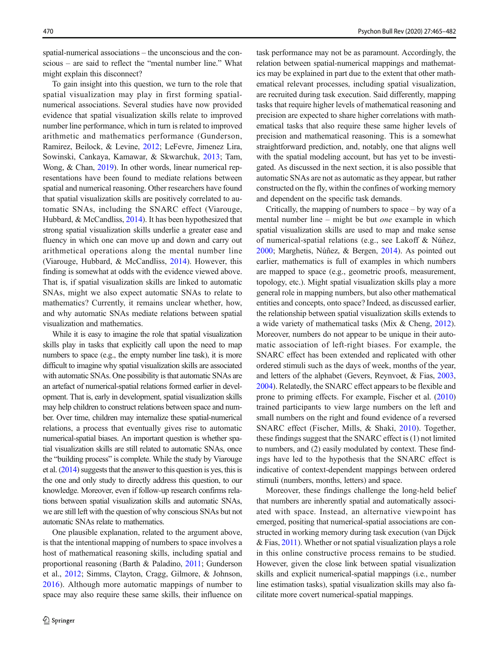spatial-numerical associations – the unconscious and the conscious – are said to reflect the "mental number line." What might explain this disconnect?

To gain insight into this question, we turn to the role that spatial visualization may play in first forming spatialnumerical associations. Several studies have now provided evidence that spatial visualization skills relate to improved number line performance, which in turn is related to improved arithmetic and mathematics performance (Gunderson, Ramirez, Beilock, & Levine, [2012](#page-16-0); LeFevre, Jimenez Lira, Sowinski, Cankaya, Kamawar, & Skwarchuk, [2013;](#page-17-0) Tam, Wong, & Chan, [2019\)](#page-18-0). In other words, linear numerical representations have been found to mediate relations between spatial and numerical reasoning. Other researchers have found that spatial visualization skills are positively correlated to automatic SNAs, including the SNARC effect (Viarouge, Hubbard, & McCandliss, [2014\)](#page-18-0). It has been hypothesized that strong spatial visualization skills underlie a greater ease and fluency in which one can move up and down and carry out arithmetical operations along the mental number line (Viarouge, Hubbard, & McCandliss, [2014](#page-18-0)). However, this finding is somewhat at odds with the evidence viewed above. That is, if spatial visualization skills are linked to automatic SNAs, might we also expect automatic SNAs to relate to mathematics? Currently, it remains unclear whether, how, and why automatic SNAs mediate relations between spatial visualization and mathematics.

While it is easy to imagine the role that spatial visualization skills play in tasks that explicitly call upon the need to map numbers to space (e.g., the empty number line task), it is more difficult to imagine why spatial visualization skills are associated with automatic SNAs. One possibility is that automatic SNAs are an artefact of numerical-spatial relations formed earlier in development. That is, early in development, spatial visualization skills may help children to construct relations between space and number. Over time, children may internalize these spatial-numerical relations, a process that eventually gives rise to automatic numerical-spatial biases. An important question is whether spatial visualization skills are still related to automatic SNAs, once the "building process" is complete. While the study by Viarouge et al. [\(2014\)](#page-18-0) suggests that the answer to this question is yes, this is the one and only study to directly address this question, to our knowledge. Moreover, even if follow-up research confirms relations between spatial visualization skills and automatic SNAs, we are still left with the question of why conscious SNAs but not automatic SNAs relate to mathematics.

One plausible explanation, related to the argument above, is that the intentional mapping of numbers to space involves a host of mathematical reasoning skills, including spatial and proportional reasoning (Barth & Paladino, [2011](#page-16-0); Gunderson et al., [2012](#page-16-0); Simms, Clayton, Cragg, Gilmore, & Johnson, [2016](#page-18-0)). Although more automatic mappings of number to space may also require these same skills, their influence on

task performance may not be as paramount. Accordingly, the relation between spatial-numerical mappings and mathematics may be explained in part due to the extent that other mathematical relevant processes, including spatial visualization, are recruited during task execution. Said differently, mapping tasks that require higher levels of mathematical reasoning and precision are expected to share higher correlations with mathematical tasks that also require these same higher levels of precision and mathematical reasoning. This is a somewhat straightforward prediction, and, notably, one that aligns well with the spatial modeling account, but has yet to be investigated. As discussed in the next section, it is also possible that automatic SNAs are not as automatic as they appear, but rather constructed on the fly, within the confines of working memory and dependent on the specific task demands.

Critically, the mapping of numbers to space – by way of a mental number line – might be but one example in which spatial visualization skills are used to map and make sense of numerical-spatial relations (e.g., see Lakoff & Núñez, [2000;](#page-17-0) Marghetis, Núñez, & Bergen, [2014\)](#page-17-0). As pointed out earlier, mathematics is full of examples in which numbers are mapped to space (e.g., geometric proofs, measurement, topology, etc.). Might spatial visualization skills play a more general role in mapping numbers, but also other mathematical entities and concepts, onto space? Indeed, as discussed earlier, the relationship between spatial visualization skills extends to a wide variety of mathematical tasks (Mix & Cheng, [2012\)](#page-17-0). Moreover, numbers do not appear to be unique in their automatic association of left-right biases. For example, the SNARC effect has been extended and replicated with other ordered stimuli such as the days of week, months of the year, and letters of the alphabet (Gevers, Reynvoet, & Fias, [2003,](#page-16-0) [2004\)](#page-16-0). Relatedly, the SNARC effect appears to be flexible and prone to priming effects. For example, Fischer et al. [\(2010](#page-16-0)) trained participants to view large numbers on the left and small numbers on the right and found evidence of a reversed SNARC effect (Fischer, Mills, & Shaki, [2010\)](#page-16-0). Together, these findings suggest that the SNARC effect is (1) not limited to numbers, and (2) easily modulated by context. These findings have led to the hypothesis that the SNARC effect is indicative of context-dependent mappings between ordered stimuli (numbers, months, letters) and space.

Moreover, these findings challenge the long-held belief that numbers are inherently spatial and automatically associated with space. Instead, an alternative viewpoint has emerged, positing that numerical-spatial associations are constructed in working memory during task execution (van Dijck & Fias, [2011](#page-18-0)). Whether or not spatial visualization plays a role in this online constructive process remains to be studied. However, given the close link between spatial visualization skills and explicit numerical-spatial mappings (i.e., number line estimation tasks), spatial visualization skills may also facilitate more covert numerical-spatial mappings.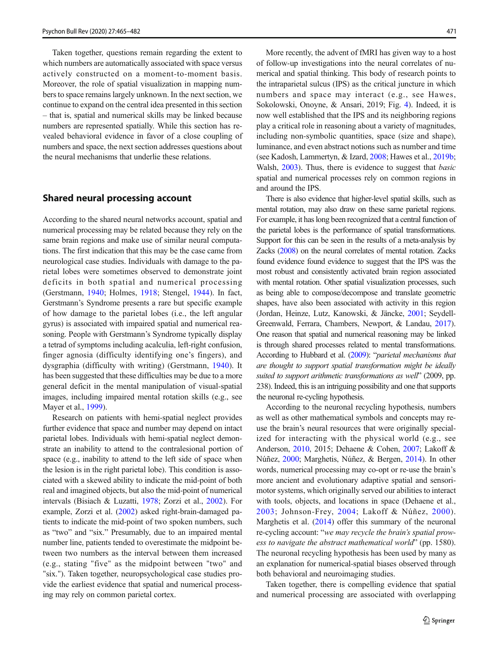Taken together, questions remain regarding the extent to which numbers are automatically associated with space versus actively constructed on a moment-to-moment basis. Moreover, the role of spatial visualization in mapping numbers to space remains largely unknown. In the next section, we continue to expand on the central idea presented in this section – that is, spatial and numerical skills may be linked because numbers are represented spatially. While this section has revealed behavioral evidence in favor of a close coupling of numbers and space, the next section addresses questions about the neural mechanisms that underlie these relations.

#### Shared neural processing account

According to the shared neural networks account, spatial and numerical processing may be related because they rely on the same brain regions and make use of similar neural computations. The first indication that this may be the case came from neurological case studies. Individuals with damage to the parietal lobes were sometimes observed to demonstrate joint deficits in both spatial and numerical processing (Gerstmann, [1940](#page-16-0); Holmes, [1918;](#page-17-0) Stengel, [1944](#page-18-0)). In fact, Gerstmann's Syndrome presents a rare but specific example of how damage to the parietal lobes (i.e., the left angular gyrus) is associated with impaired spatial and numerical reasoning. People with Gerstmann's Syndrome typically display a tetrad of symptoms including acalculia, left-right confusion, finger agnosia (difficulty identifying one's fingers), and dysgraphia (difficulty with writing) (Gerstmann, [1940\)](#page-16-0). It has been suggested that these difficulties may be due to a more general deficit in the mental manipulation of visual-spatial images, including impaired mental rotation skills (e.g., see Mayer et al., [1999](#page-17-0)).

Research on patients with hemi-spatial neglect provides further evidence that space and number may depend on intact parietal lobes. Individuals with hemi-spatial neglect demonstrate an inability to attend to the contralesional portion of space (e.g., inability to attend to the left side of space when the lesion is in the right parietal lobe). This condition is associated with a skewed ability to indicate the mid-point of both real and imagined objects, but also the mid-point of numerical intervals (Bisiach & Luzatti, [1978](#page-16-0); Zorzi et al., [2002](#page-18-0)). For example, Zorzi et al. [\(2002\)](#page-18-0) asked right-brain-damaged patients to indicate the mid-point of two spoken numbers, such as "two" and "six." Presumably, due to an impaired mental number line, patients tended to overestimate the midpoint between two numbers as the interval between them increased (e.g., stating "five" as the midpoint between "two" and "six."). Taken together, neuropsychological case studies provide the earliest evidence that spatial and numerical processing may rely on common parietal cortex.

More recently, the advent of fMRI has given way to a host of follow-up investigations into the neural correlates of numerical and spatial thinking. This body of research points to the intraparietal sulcus (IPS) as the critical juncture in which numbers and space may interact (e.g., see Hawes, Sokolowski, Onoyne, & Ansari, 2019; Fig. [4\)](#page-8-0). Indeed, it is now well established that the IPS and its neighboring regions play a critical role in reasoning about a variety of magnitudes, including non-symbolic quantities, space (size and shape), luminance, and even abstract notions such as number and time (see Kadosh, Lammertyn, & Izard, [2008](#page-17-0); Hawes et al., [2019b;](#page-17-0) Walsh, [2003\)](#page-18-0). Thus, there is evidence to suggest that *basic* spatial and numerical processes rely on common regions in and around the IPS.

There is also evidence that higher-level spatial skills, such as mental rotation, may also draw on these same parietal regions. For example, it has long been recognized that a central function of the parietal lobes is the performance of spatial transformations. Support for this can be seen in the results of a meta-analysis by Zacks [\(2008\)](#page-18-0) on the neural correlates of mental rotation. Zacks found evidence found evidence to suggest that the IPS was the most robust and consistently activated brain region associated with mental rotation. Other spatial visualization processes, such as being able to compose/decompose and translate geometric shapes, have also been associated with activity in this region (Jordan, Heinze, Lutz, Kanowski, & Jäncke, [2001](#page-17-0); Seydell-Greenwald, Ferrara, Chambers, Newport, & Landau, [2017\)](#page-18-0). One reason that spatial and numerical reasoning may be linked is through shared processes related to mental transformations. According to Hubbard et al. ([2009](#page-17-0)): "parietal mechanisms that are thought to support spatial transformation might be ideally suited to support arithmetic transformations as well" (2009, pp. 238). Indeed, this is an intriguing possibility and one that supports the neuronal re-cycling hypothesis.

According to the neuronal recycling hypothesis, numbers as well as other mathematical symbols and concepts may reuse the brain's neural resources that were originally specialized for interacting with the physical world (e.g., see Anderson, [2010](#page-16-0), 2015; Dehaene & Cohen, [2007;](#page-16-0) Lakoff & Núñez, [2000;](#page-17-0) Marghetis, Núñez, & Bergen, [2014\)](#page-17-0). In other words, numerical processing may co-opt or re-use the brain's more ancient and evolutionary adaptive spatial and sensorimotor systems, which originally served our abilities to interact with tools, objects, and locations in space (Dehaene et al., [2003](#page-16-0); Johnson-Frey, [2004](#page-17-0); Lakoff & Núñez, [2000\)](#page-17-0). Marghetis et al. [\(2014\)](#page-17-0) offer this summary of the neuronal re-cycling account: "we may recycle the brain's spatial prowess to navigate the abstract mathematical world" (pp. 1580). The neuronal recycling hypothesis has been used by many as an explanation for numerical-spatial biases observed through both behavioral and neuroimaging studies.

Taken together, there is compelling evidence that spatial and numerical processing are associated with overlapping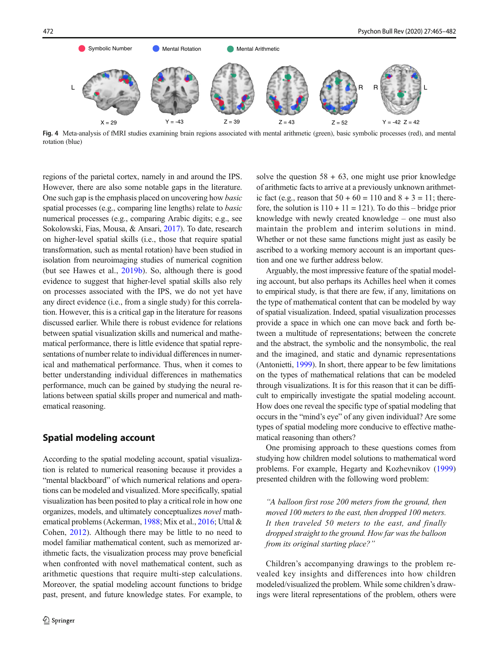<span id="page-8-0"></span>

Fig. 4 Meta-analysis of fMRI studies examining brain regions associated with mental arithmetic (green), basic symbolic processes (red), and mental rotation (blue)

regions of the parietal cortex, namely in and around the IPS. However, there are also some notable gaps in the literature. One such gap is the emphasis placed on uncovering how basic spatial processes (e.g., comparing line lengths) relate to basic numerical processes (e.g., comparing Arabic digits; e.g., see Sokolowski, Fias, Mousa, & Ansari, [2017](#page-18-0)). To date, research on higher-level spatial skills (i.e., those that require spatial transformation, such as mental rotation) have been studied in isolation from neuroimaging studies of numerical cognition (but see Hawes et al., [2019b](#page-17-0)). So, although there is good evidence to suggest that higher-level spatial skills also rely on processes associated with the IPS, we do not yet have any direct evidence (i.e., from a single study) for this correlation. However, this is a critical gap in the literature for reasons discussed earlier. While there is robust evidence for relations between spatial visualization skills and numerical and mathematical performance, there is little evidence that spatial representations of number relate to individual differences in numerical and mathematical performance. Thus, when it comes to better understanding individual differences in mathematics performance, much can be gained by studying the neural relations between spatial skills proper and numerical and mathematical reasoning.

#### Spatial modeling account

According to the spatial modeling account, spatial visualization is related to numerical reasoning because it provides a "mental blackboard" of which numerical relations and operations can be modeled and visualized. More specifically, spatial visualization has been posited to play a critical role in how one organizes, models, and ultimately conceptualizes novel mathematical problems (Ackerman, [1988;](#page-16-0) Mix et al., [2016;](#page-17-0) Uttal & Cohen, [2012](#page-18-0)). Although there may be little to no need to model familiar mathematical content, such as memorized arithmetic facts, the visualization process may prove beneficial when confronted with novel mathematical content, such as arithmetic questions that require multi-step calculations. Moreover, the spatial modeling account functions to bridge past, present, and future knowledge states. For example, to solve the question  $58 + 63$ , one might use prior knowledge of arithmetic facts to arrive at a previously unknown arithmetic fact (e.g., reason that  $50 + 60 = 110$  and  $8 + 3 = 11$ ; therefore, the solution is  $110 + 11 = 121$ . To do this – bridge prior knowledge with newly created knowledge – one must also maintain the problem and interim solutions in mind. Whether or not these same functions might just as easily be ascribed to a working memory account is an important question and one we further address below.

Arguably, the most impressive feature of the spatial modeling account, but also perhaps its Achilles heel when it comes to empirical study, is that there are few, if any, limitations on the type of mathematical content that can be modeled by way of spatial visualization. Indeed, spatial visualization processes provide a space in which one can move back and forth between a multitude of representations; between the concrete and the abstract, the symbolic and the nonsymbolic, the real and the imagined, and static and dynamic representations (Antonietti, [1999\)](#page-16-0). In short, there appear to be few limitations on the types of mathematical relations that can be modeled through visualizations. It is for this reason that it can be difficult to empirically investigate the spatial modeling account. How does one reveal the specific type of spatial modeling that occurs in the "mind's eye" of any given individual? Are some types of spatial modeling more conducive to effective mathematical reasoning than others?

One promising approach to these questions comes from studying how children model solutions to mathematical word problems. For example, Hegarty and Kozhevnikov [\(1999](#page-17-0)) presented children with the following word problem:

"A balloon first rose 200 meters from the ground, then moved 100 meters to the east, then dropped 100 meters. It then traveled 50 meters to the east, and finally dropped straight to the ground. How far was the balloon from its original starting place?"

Children's accompanying drawings to the problem revealed key insights and differences into how children modeled/visualized the problem. While some children's drawings were literal representations of the problem, others were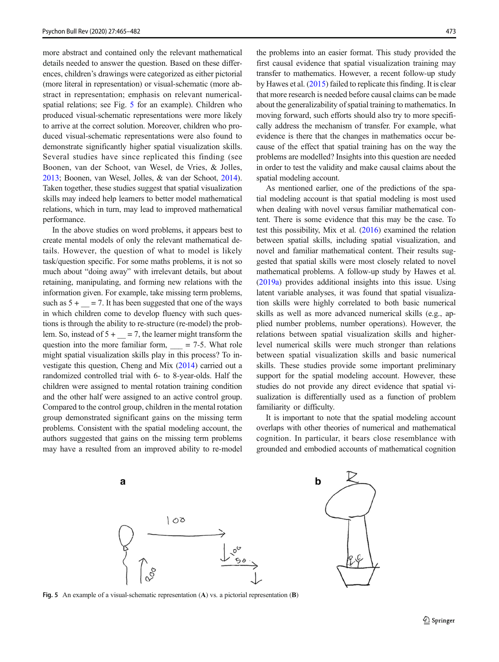more abstract and contained only the relevant mathematical details needed to answer the question. Based on these differences, children's drawings were categorized as either pictorial (more literal in representation) or visual-schematic (more abstract in representation; emphasis on relevant numericalspatial relations; see Fig. 5 for an example). Children who produced visual-schematic representations were more likely to arrive at the correct solution. Moreover, children who produced visual-schematic representations were also found to demonstrate significantly higher spatial visualization skills. Several studies have since replicated this finding (see Boonen, van der Schoot, van Wesel, de Vries, & Jolles, [2013;](#page-16-0) Boonen, van Wesel, Jolles, & van der Schoot, [2014\)](#page-16-0). Taken together, these studies suggest that spatial visualization skills may indeed help learners to better model mathematical relations, which in turn, may lead to improved mathematical performance.

In the above studies on word problems, it appears best to create mental models of only the relevant mathematical details. However, the question of what to model is likely task/question specific. For some maths problems, it is not so much about "doing away" with irrelevant details, but about retaining, manipulating, and forming new relations with the information given. For example, take missing term problems, such as  $5 + \frac{1}{2}$ . It has been suggested that one of the ways in which children come to develop fluency with such questions is through the ability to re-structure (re-model) the problem. So, instead of  $5 + \frac{1}{7}$ , the learner might transform the question into the more familiar form,  $= 7-5$ . What role might spatial visualization skills play in this process? To investigate this question, Cheng and Mix [\(2014\)](#page-16-0) carried out a randomized controlled trial with 6- to 8-year-olds. Half the children were assigned to mental rotation training condition and the other half were assigned to an active control group. Compared to the control group, children in the mental rotation group demonstrated significant gains on the missing term problems. Consistent with the spatial modeling account, the authors suggested that gains on the missing term problems may have a resulted from an improved ability to re-model

 $\mathbf{a}$ 

the problems into an easier format. This study provided the first causal evidence that spatial visualization training may transfer to mathematics. However, a recent follow-up study by Hawes et al. [\(2015\)](#page-16-0) failed to replicate this finding. It is clear that more research is needed before causal claims can be made about the generalizability of spatial training to mathematics. In moving forward, such efforts should also try to more specifically address the mechanism of transfer. For example, what evidence is there that the changes in mathematics occur because of the effect that spatial training has on the way the problems are modelled? Insights into this question are needed in order to test the validity and make causal claims about the spatial modeling account.

As mentioned earlier, one of the predictions of the spatial modeling account is that spatial modeling is most used when dealing with novel versus familiar mathematical content. There is some evidence that this may be the case. To test this possibility, Mix et al. [\(2016\)](#page-17-0) examined the relation between spatial skills, including spatial visualization, and novel and familiar mathematical content. Their results suggested that spatial skills were most closely related to novel mathematical problems. A follow-up study by Hawes et al. [\(2019a](#page-16-0)) provides additional insights into this issue. Using latent variable analyses, it was found that spatial visualization skills were highly correlated to both basic numerical skills as well as more advanced numerical skills (e.g., applied number problems, number operations). However, the relations between spatial visualization skills and higherlevel numerical skills were much stronger than relations between spatial visualization skills and basic numerical skills. These studies provide some important preliminary support for the spatial modeling account. However, these studies do not provide any direct evidence that spatial visualization is differentially used as a function of problem familiarity or difficulty.

It is important to note that the spatial modeling account overlaps with other theories of numerical and mathematical cognition. In particular, it bears close resemblance with grounded and embodied accounts of mathematical cognition





Fig. 5 An example of a visual-schematic representation (A) vs. a pictorial representation (B)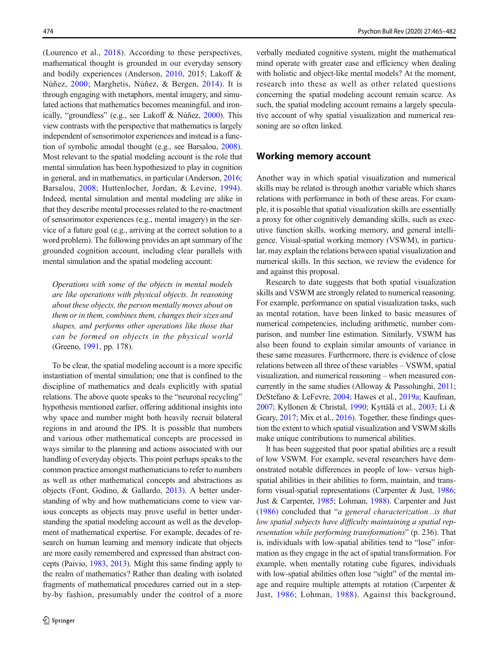(Lourenco et al., [2018](#page-17-0)). According to these perspectives, mathematical thought is grounded in our everyday sensory and bodily experiences (Anderson, [2010,](#page-16-0) 2015; Lakoff & Núñez, [2000](#page-17-0); Marghetis, Núñez, & Bergen, [2014](#page-17-0)). It is through engaging with metaphors, mental imagery, and simulated actions that mathematics becomes meaningful, and ironically, "groundless" (e.g., see Lakoff & Núñez, [2000\)](#page-17-0). This view contrasts with the perspective that mathematics is largely independent of sensorimotor experiences and instead is a function of symbolic amodal thought (e.g., see Barsalou, [2008\)](#page-16-0). Most relevant to the spatial modeling account is the role that mental simulation has been hypothesized to play in cognition in general, and in mathematics, in particular (Anderson, [2016](#page-16-0); Barsalou, [2008;](#page-16-0) Huttenlocher, Jordan, & Levine, [1994](#page-17-0)). Indeed, mental simulation and mental modeling are alike in that they describe mental processes related to the re-enactment of sensorimotor experiences (e.g., mental imagery) in the service of a future goal (e.g., arriving at the correct solution to a word problem). The following provides an apt summary of the grounded cognition account, including clear parallels with mental simulation and the spatial modeling account:

Operations with some of the objects in mental models are like operations with physical objects. In reasoning about these objects, the person mentally moves about on them or in them, combines them, changes their sizes and shapes, and performs other operations like those that can be formed on objects in the physical world (Greeno, [1991,](#page-16-0) pp. 178).

To be clear, the spatial modeling account is a more specific instantiation of mental simulation; one that is confined to the discipline of mathematics and deals explicitly with spatial relations. The above quote speaks to the "neuronal recycling" hypothesis mentioned earlier, offering additional insights into why space and number might both heavily recruit bilateral regions in and around the IPS. It is possible that numbers and various other mathematical concepts are processed in ways similar to the planning and actions associated with our handling of everyday objects. This point perhaps speaks to the common practice amongst mathematicians to refer to numbers as well as other mathematical concepts and abstractions as objects (Font, Godino, & Gallardo, [2013](#page-16-0)). A better understanding of why and how mathematicians come to view various concepts as objects may prove useful in better understanding the spatial modeling account as well as the development of mathematical expertise. For example, decades of research on human learning and memory indicate that objects are more easily remembered and expressed than abstract concepts (Paivio, [1983](#page-17-0), [2013](#page-17-0)). Might this same finding apply to the realm of mathematics? Rather than dealing with isolated fragments of mathematical procedures carried out in a stepby-by fashion, presumably under the control of a more

verbally mediated cognitive system, might the mathematical mind operate with greater ease and efficiency when dealing with holistic and object-like mental models? At the moment, research into these as well as other related questions concerning the spatial modeling account remain scarce. As such, the spatial modeling account remains a largely speculative account of why spatial visualization and numerical reasoning are so often linked.

#### Working memory account

Another way in which spatial visualization and numerical skills may be related is through another variable which shares relations with performance in both of these areas. For example, it is possible that spatial visualization skills are essentially a proxy for other cognitively demanding skills, such as executive function skills, working memory, and general intelligence. Visual-spatial working memory (VSWM), in particular, may explain the relations between spatial visualization and numerical skills. In this section, we review the evidence for and against this proposal.

Research to date suggests that both spatial visualization skills and VSWM are strongly related to numerical reasoning. For example, performance on spatial visualization tasks, such as mental rotation, have been linked to basic measures of numerical competencies, including arithmetic, number comparison, and number line estimation. Similarly, VSWM has also been found to explain similar amounts of variance in these same measures. Furthermore, there is evidence of close relations between all three of these variables – VSWM, spatial visualization, and numerical reasoning – when measured concurrently in the same studies (Alloway & Passolunghi, [2011;](#page-16-0) DeStefano & LeFevre, [2004](#page-16-0); Hawes et al., [2019a](#page-16-0); Kaufman, [2007;](#page-17-0) Kyllonen & Christal, [1990](#page-17-0); Kyttälä et al., [2003](#page-17-0); Li & Geary, [2017;](#page-17-0) Mix et al., [2016](#page-17-0)). Together, these findings question the extent to which spatial visualization and VSWM skills make unique contributions to numerical abilities.

It has been suggested that poor spatial abilities are a result of low VSWM. For example, several researchers have demonstrated notable differences in people of low- versus highspatial abilities in their abilities to form, maintain, and transform visual-spatial representations (Carpenter & Just, [1986;](#page-16-0) Just & Carpenter, [1985](#page-17-0); Lohman, [1988\)](#page-17-0). Carpenter and Just [\(1986](#page-16-0)) concluded that "a general characterization...is that low spatial subjects have difficulty maintaining a spatial representation while performing transformations" (p. 236). That is, individuals with low-spatial abilities tend to "lose" information as they engage in the act of spatial transformation. For example, when mentally rotating cube figures, individuals with low-spatial abilities often lose "sight" of the mental image and require multiple attempts at rotation (Carpenter & Just, [1986;](#page-16-0) Lohman, [1988\)](#page-17-0). Against this background,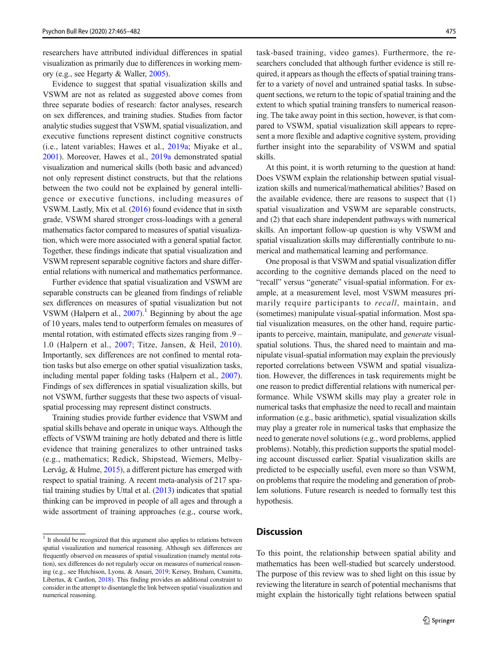researchers have attributed individual differences in spatial visualization as primarily due to differences in working memory (e.g., see Hegarty & Waller, [2005\)](#page-17-0).

Evidence to suggest that spatial visualization skills and VSWM are not as related as suggested above comes from three separate bodies of research: factor analyses, research on sex differences, and training studies. Studies from factor analytic studies suggest that VSWM, spatial visualization, and executive functions represent distinct cognitive constructs (i.e., latent variables; Hawes et al., [2019a;](#page-16-0) Miyake et al., [2001\)](#page-17-0). Moreover, Hawes et al., [2019a](#page-16-0) demonstrated spatial visualization and numerical skills (both basic and advanced) not only represent distinct constructs, but that the relations between the two could not be explained by general intelligence or executive functions, including measures of VSWM. Lastly, Mix et al. [\(2016\)](#page-17-0) found evidence that in sixth grade, VSWM shared stronger cross-loadings with a general mathematics factor compared to measures of spatial visualization, which were more associated with a general spatial factor. Together, these findings indicate that spatial visualization and VSWM represent separable cognitive factors and share differential relations with numerical and mathematics performance.

Further evidence that spatial visualization and VSWM are separable constructs can be gleaned from findings of reliable sex differences on measures of spatial visualization but not VSWM (Halpern et al.,  $2007$ ).<sup>1</sup> Beginning by about the age of 10 years, males tend to outperform females on measures of mental rotation, with estimated effects sizes ranging from .9 – 1.0 (Halpern et al., [2007;](#page-16-0) Titze, Jansen, & Heil, [2010](#page-18-0)). Importantly, sex differences are not confined to mental rotation tasks but also emerge on other spatial visualization tasks, including mental paper folding tasks (Halpern et al., [2007\)](#page-16-0). Findings of sex differences in spatial visualization skills, but not VSWM, further suggests that these two aspects of visualspatial processing may represent distinct constructs.

Training studies provide further evidence that VSWM and spatial skills behave and operate in unique ways. Although the effects of VSWM training are hotly debated and there is little evidence that training generalizes to other untrained tasks (e.g., mathematics; Redick, Shipstead, Wiemers, Melby-Lervåg, & Hulme, [2015](#page-18-0)), a different picture has emerged with respect to spatial training. A recent meta-analysis of 217 spatial training studies by Uttal et al. [\(2013\)](#page-18-0) indicates that spatial thinking can be improved in people of all ages and through a wide assortment of training approaches (e.g., course work,

task-based training, video games). Furthermore, the researchers concluded that although further evidence is still required, it appears as though the effects of spatial training transfer to a variety of novel and untrained spatial tasks. In subsequent sections, we return to the topic of spatial training and the extent to which spatial training transfers to numerical reasoning. The take away point in this section, however, is that compared to VSWM, spatial visualization skill appears to represent a more flexible and adaptive cognitive system, providing further insight into the separability of VSWM and spatial skills.

At this point, it is worth returning to the question at hand: Does VSWM explain the relationship between spatial visualization skills and numerical/mathematical abilities? Based on the available evidence, there are reasons to suspect that (1) spatial visualization and VSWM are separable constructs, and (2) that each share independent pathways with numerical skills. An important follow-up question is why VSWM and spatial visualization skills may differentially contribute to numerical and mathematical learning and performance.

One proposal is that VSWM and spatial visualization differ according to the cognitive demands placed on the need to "recall" versus "generate" visual-spatial information. For example, at a measurement level, most VSWM measures primarily require participants to *recall*, maintain, and (sometimes) manipulate visual-spatial information. Most spatial visualization measures, on the other hand, require participants to perceive, maintain, manipulate, and generate visualspatial solutions. Thus, the shared need to maintain and manipulate visual-spatial information may explain the previously reported correlations between VSWM and spatial visualization. However, the differences in task requirements might be one reason to predict differential relations with numerical performance. While VSWM skills may play a greater role in numerical tasks that emphasize the need to recall and maintain information (e.g., basic arithmetic), spatial visualization skills may play a greater role in numerical tasks that emphasize the need to generate novel solutions (e.g., word problems, applied problems). Notably, this prediction supports the spatial modeling account discussed earlier. Spatial visualization skills are predicted to be especially useful, even more so than VSWM, on problems that require the modeling and generation of problem solutions. Future research is needed to formally test this hypothesis.

#### **Discussion**

To this point, the relationship between spatial ability and mathematics has been well-studied but scarcely understood. The purpose of this review was to shed light on this issue by reviewing the literature in search of potential mechanisms that might explain the historically tight relations between spatial

<sup>&</sup>lt;sup>1</sup> It should be recognized that this argument also applies to relations between spatial visualization and numerical reasoning. Although sex differences are frequently observed on measures of spatial visualization (namely mental rotation), sex differences do not regularly occur on measures of numerical reasoning (e.g., see Hutchison, Lyons, & Ansari, [2019;](#page-17-0) Kersey, Braham, Csumitta, Libertus, & Cantlon, [2018\)](#page-17-0). This finding provides an additional constraint to consider in the attempt to disentangle the link between spatial visualization and numerical reasoning.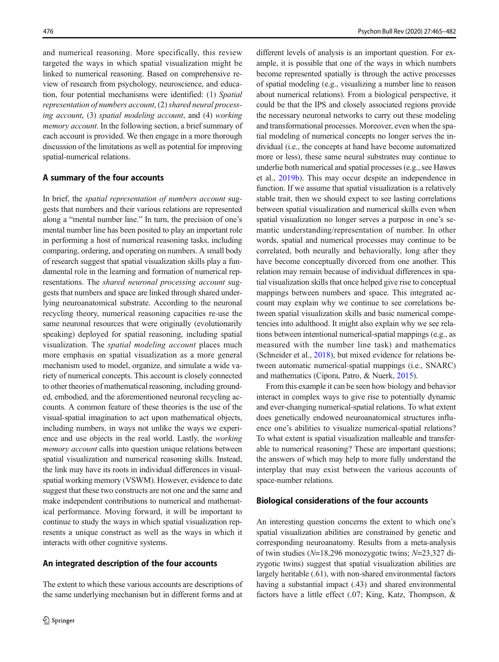and numerical reasoning. More specifically, this review targeted the ways in which spatial visualization might be linked to numerical reasoning. Based on comprehensive review of research from psychology, neuroscience, and education, four potential mechanisms were identified: (1) Spatial representation of numbers account, (2) shared neural processing account, (3) spatial modeling account, and (4) working memory account. In the following section, a brief summary of each account is provided. We then engage in a more thorough discussion of the limitations as well as potential for improving spatial-numerical relations.

#### A summary of the four accounts

In brief, the spatial representation of numbers account suggests that numbers and their various relations are represented along a "mental number line." In turn, the precision of one's mental number line has been posited to play an important role in performing a host of numerical reasoning tasks, including comparing, ordering, and operating on numbers. A small body of research suggest that spatial visualization skills play a fundamental role in the learning and formation of numerical representations. The shared neuronal processing account suggests that numbers and space are linked through shared underlying neuroanatomical substrate. According to the neuronal recycling theory, numerical reasoning capacities re-use the same neuronal resources that were originally (evolutionarily speaking) deployed for spatial reasoning, including spatial visualization. The spatial modeling account places much more emphasis on spatial visualization as a more general mechanism used to model, organize, and simulate a wide variety of numerical concepts. This account is closely connected to other theories of mathematical reasoning, including grounded, embodied, and the aforementioned neuronal recycling accounts. A common feature of these theories is the use of the visual-spatial imagination to act upon mathematical objects, including numbers, in ways not unlike the ways we experience and use objects in the real world. Lastly, the working memory account calls into question unique relations between spatial visualization and numerical reasoning skills. Instead, the link may have its roots in individual differences in visualspatial working memory (VSWM). However, evidence to date suggest that these two constructs are not one and the same and make independent contributions to numerical and mathematical performance. Moving forward, it will be important to continue to study the ways in which spatial visualization represents a unique construct as well as the ways in which it interacts with other cognitive systems.

#### An integrated description of the four accounts

The extent to which these various accounts are descriptions of the same underlying mechanism but in different forms and at

different levels of analysis is an important question. For example, it is possible that one of the ways in which numbers become represented spatially is through the active processes of spatial modeling (e.g., visualizing a number line to reason about numerical relations). From a biological perspective, it could be that the IPS and closely associated regions provide the necessary neuronal networks to carry out these modeling and transformational processes. Moreover, even when the spatial modeling of numerical concepts no longer serves the individual (i.e., the concepts at hand have become automatized more or less), these same neural substrates may continue to underlie both numerical and spatial processes (e.g., see Hawes et al., [2019b](#page-17-0)). This may occur despite an independence in function. If we assume that spatial visualization is a relatively stable trait, then we should expect to see lasting correlations between spatial visualization and numerical skills even when spatial visualization no longer serves a purpose in one's semantic understanding/representation of number. In other words, spatial and numerical processes may continue to be correlated, both neurally and behaviorally, long after they have become conceptually divorced from one another. This relation may remain because of individual differences in spatial visualization skills that once helped give rise to conceptual mappings between numbers and space. This integrated account may explain why we continue to see correlations between spatial visualization skills and basic numerical competencies into adulthood. It might also explain why we see relations between intentional numerical-spatial mappings (e.g., as measured with the number line task) and mathematics (Schneider et al., [2018](#page-18-0)), but mixed evidence for relations between automatic numerical-spatial mappings (i.e., SNARC) and mathematics (Cipora, Patro, & Nuerk, [2015](#page-16-0)).

From this example it can be seen how biology and behavior interact in complex ways to give rise to potentially dynamic and ever-changing numerical-spatial relations. To what extent does genetically endowed neuroanatomical structures influence one's abilities to visualize numerical-spatial relations? To what extent is spatial visualization malleable and transferable to numerical reasoning? These are important questions; the answers of which may help to more fully understand the interplay that may exist between the various accounts of space-number relations.

#### Biological considerations of the four accounts

An interesting question concerns the extent to which one's spatial visualization abilities are constrained by genetic and corresponding neuroanatomy. Results from a meta-analysis of twin studies  $(N=18,296 \text{ monozygotic twins}; N=23,327 \text{ di-}$ zygotic twins) suggest that spatial visualization abilities are largely heritable (.61), with non-shared environmental factors having a substantial impact (.43) and shared environmental factors have a little effect (.07; King, Katz, Thompson, &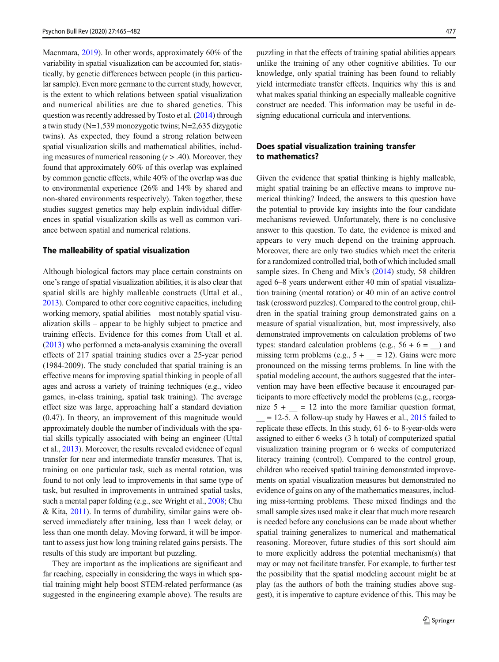Macnmara, [2019](#page-17-0)). In other words, approximately 60% of the variability in spatial visualization can be accounted for, statistically, by genetic differences between people (in this particular sample). Even more germane to the current study, however, is the extent to which relations between spatial visualization and numerical abilities are due to shared genetics. This question was recently addressed by Tosto et al. [\(2014\)](#page-18-0) through a twin study (N=1,539 monozygotic twins; N=2,635 dizygotic twins). As expected, they found a strong relation between spatial visualization skills and mathematical abilities, including measures of numerical reasoning  $(r > .40)$ . Moreover, they found that approximately 60% of this overlap was explained by common genetic effects, while 40% of the overlap was due to environmental experience (26% and 14% by shared and non-shared environments respectively). Taken together, these studies suggest genetics may help explain individual differences in spatial visualization skills as well as common variance between spatial and numerical relations.

#### The malleability of spatial visualization

Although biological factors may place certain constraints on one's range of spatial visualization abilities, it is also clear that spatial skills are highly malleable constructs (Uttal et al., [2013\)](#page-18-0). Compared to other core cognitive capacities, including working memory, spatial abilities – most notably spatial visualization skills – appear to be highly subject to practice and training effects. Evidence for this comes from Utall et al. [\(2013\)](#page-18-0) who performed a meta-analysis examining the overall effects of 217 spatial training studies over a 25-year period (1984-2009). The study concluded that spatial training is an effective means for improving spatial thinking in people of all ages and across a variety of training techniques (e.g., video games, in-class training, spatial task training). The average effect size was large, approaching half a standard deviation (0.47). In theory, an improvement of this magnitude would approximately double the number of individuals with the spatial skills typically associated with being an engineer (Uttal et al., [2013\)](#page-18-0). Moreover, the results revealed evidence of equal transfer for near and intermediate transfer measures. That is, training on one particular task, such as mental rotation, was found to not only lead to improvements in that same type of task, but resulted in improvements in untrained spatial tasks, such a mental paper folding (e.g., see Wright et al., [2008;](#page-18-0) Chu & Kita, [2011](#page-16-0)). In terms of durability, similar gains were observed immediately after training, less than 1 week delay, or less than one month delay. Moving forward, it will be important to assess just how long training related gains persists. The results of this study are important but puzzling.

They are important as the implications are significant and far reaching, especially in considering the ways in which spatial training might help boost STEM-related performance (as suggested in the engineering example above). The results are puzzling in that the effects of training spatial abilities appears unlike the training of any other cognitive abilities. To our knowledge, only spatial training has been found to reliably yield intermediate transfer effects. Inquiries why this is and what makes spatial thinking an especially malleable cognitive construct are needed. This information may be useful in designing educational curricula and interventions.

#### Does spatial visualization training transfer to mathematics?

Given the evidence that spatial thinking is highly malleable, might spatial training be an effective means to improve numerical thinking? Indeed, the answers to this question have the potential to provide key insights into the four candidate mechanisms reviewed. Unfortunately, there is no conclusive answer to this question. To date, the evidence is mixed and appears to very much depend on the training approach. Moreover, there are only two studies which meet the criteria for a randomized controlled trial, both of which included small sample sizes. In Cheng and Mix's [\(2014](#page-16-0)) study, 58 children aged 6–8 years underwent either 40 min of spatial visualization training (mental rotation) or 40 min of an active control task (crossword puzzles). Compared to the control group, children in the spatial training group demonstrated gains on a measure of spatial visualization, but, most impressively, also demonstrated improvements on calculation problems of two types: standard calculation problems (e.g.,  $56 + 6 = 0$ ) and missing term problems (e.g.,  $5 + \_ = 12$ ). Gains were more pronounced on the missing terms problems. In line with the spatial modeling account, the authors suggested that the intervention may have been effective because it encouraged participants to more effectively model the problems (e.g., reorganize  $5 + 12$  into the more familiar question format,  $= 12-5$ . A follow-up study by Hawes et al., [2015](#page-16-0) failed to replicate these effects. In this study, 61 6- to 8-year-olds were assigned to either 6 weeks (3 h total) of computerized spatial visualization training program or 6 weeks of computerized literacy training (control). Compared to the control group, children who received spatial training demonstrated improvements on spatial visualization measures but demonstrated no evidence of gains on any of the mathematics measures, including miss-terming problems. These mixed findings and the small sample sizes used make it clear that much more research is needed before any conclusions can be made about whether spatial training generalizes to numerical and mathematical reasoning. Moreover, future studies of this sort should aim to more explicitly address the potential mechanism(s) that may or may not facilitate transfer. For example, to further test the possibility that the spatial modeling account might be at play (as the authors of both the training studies above suggest), it is imperative to capture evidence of this. This may be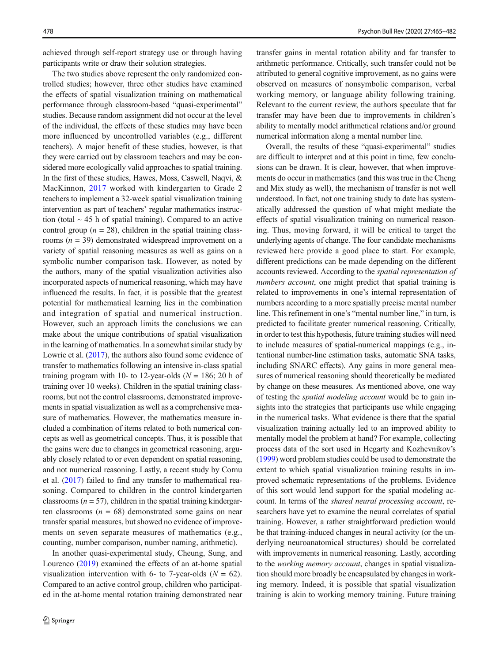achieved through self-report strategy use or through having participants write or draw their solution strategies.

The two studies above represent the only randomized controlled studies; however, three other studies have examined the effects of spatial visualization training on mathematical performance through classroom-based "quasi-experimental" studies. Because random assignment did not occur at the level of the individual, the effects of these studies may have been more influenced by uncontrolled variables (e.g., different teachers). A major benefit of these studies, however, is that they were carried out by classroom teachers and may be considered more ecologically valid approaches to spatial training. In the first of these studies, Hawes, Moss, Caswell, Naqvi, & MacKinnon, [2017](#page-16-0) worked with kindergarten to Grade 2 teachers to implement a 32-week spatial visualization training intervention as part of teachers' regular mathematics instruction (total  $\sim$  45 h of spatial training). Compared to an active control group ( $n = 28$ ), children in the spatial training classrooms ( $n = 39$ ) demonstrated widespread improvement on a variety of spatial reasoning measures as well as gains on a symbolic number comparison task. However, as noted by the authors, many of the spatial visualization activities also incorporated aspects of numerical reasoning, which may have influenced the results. In fact, it is possible that the greatest potential for mathematical learning lies in the combination and integration of spatial and numerical instruction. However, such an approach limits the conclusions we can make about the unique contributions of spatial visualization in the learning of mathematics. In a somewhat similar study by Lowrie et al. ([2017](#page-17-0)), the authors also found some evidence of transfer to mathematics following an intensive in-class spatial training program with 10- to 12-year-olds ( $N = 186$ ; 20 h of training over 10 weeks). Children in the spatial training classrooms, but not the control classrooms, demonstrated improvements in spatial visualization as well as a comprehensive measure of mathematics. However, the mathematics measure included a combination of items related to both numerical concepts as well as geometrical concepts. Thus, it is possible that the gains were due to changes in geometrical reasoning, arguably closely related to or even dependent on spatial reasoning, and not numerical reasoning. Lastly, a recent study by Cornu et al. [\(2017\)](#page-16-0) failed to find any transfer to mathematical reasoning. Compared to children in the control kindergarten classrooms ( $n = 57$ ), children in the spatial training kindergarten classrooms ( $n = 68$ ) demonstrated some gains on near transfer spatial measures, but showed no evidence of improvements on seven separate measures of mathematics (e.g., counting, number comparison, number naming, arithmetic).

In another quasi-experimental study, Cheung, Sung, and Lourenco ([2019](#page-16-0)) examined the effects of an at-home spatial visualization intervention with 6- to 7-year-olds  $(N = 62)$ . Compared to an active control group, children who participated in the at-home mental rotation training demonstrated near

transfer gains in mental rotation ability and far transfer to arithmetic performance. Critically, such transfer could not be attributed to general cognitive improvement, as no gains were observed on measures of nonsymbolic comparison, verbal working memory, or language ability following training. Relevant to the current review, the authors speculate that far transfer may have been due to improvements in children's ability to mentally model arithmetical relations and/or ground numerical information along a mental number line.

Overall, the results of these "quasi-experimental" studies are difficult to interpret and at this point in time, few conclusions can be drawn. It is clear, however, that when improvements do occur in mathematics (and this was true in the Cheng and Mix study as well), the mechanism of transfer is not well understood. In fact, not one training study to date has systematically addressed the question of what might mediate the effects of spatial visualization training on numerical reasoning. Thus, moving forward, it will be critical to target the underlying agents of change. The four candidate mechanisms reviewed here provide a good place to start. For example, different predictions can be made depending on the different accounts reviewed. According to the spatial representation of numbers account, one might predict that spatial training is related to improvements in one's internal representation of numbers according to a more spatially precise mental number line. This refinement in one's "mental number line," in turn, is predicted to facilitate greater numerical reasoning. Critically, in order to test this hypothesis, future training studies will need to include measures of spatial-numerical mappings (e.g., intentional number-line estimation tasks, automatic SNA tasks, including SNARC effects). Any gains in more general measures of numerical reasoning should theoretically be mediated by change on these measures. As mentioned above, one way of testing the spatial modeling account would be to gain insights into the strategies that participants use while engaging in the numerical tasks. What evidence is there that the spatial visualization training actually led to an improved ability to mentally model the problem at hand? For example, collecting process data of the sort used in Hegarty and Kozhevnikov's [\(1999\)](#page-17-0) word problem studies could be used to demonstrate the extent to which spatial visualization training results in improved schematic representations of the problems. Evidence of this sort would lend support for the spatial modeling account. In terms of the shared neural processing account, researchers have yet to examine the neural correlates of spatial training. However, a rather straightforward prediction would be that training-induced changes in neural activity (or the underlying neuroanatomical structures) should be correlated with improvements in numerical reasoning. Lastly, according to the working memory account, changes in spatial visualization should more broadly be encapsulated by changes in working memory. Indeed, it is possible that spatial visualization training is akin to working memory training. Future training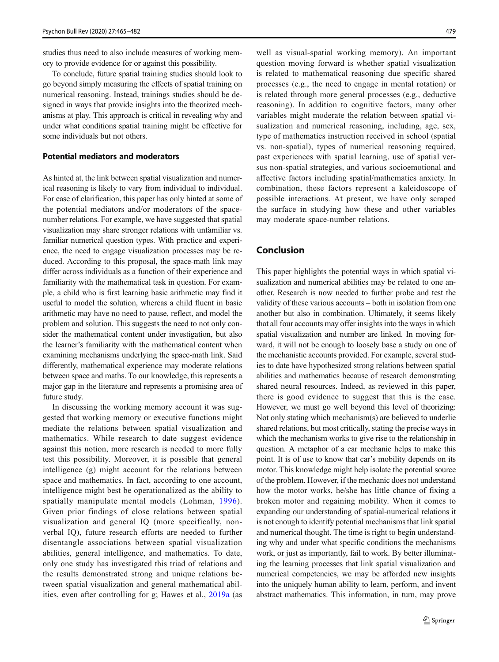studies thus need to also include measures of working memory to provide evidence for or against this possibility.

To conclude, future spatial training studies should look to go beyond simply measuring the effects of spatial training on numerical reasoning. Instead, trainings studies should be designed in ways that provide insights into the theorized mechanisms at play. This approach is critical in revealing why and under what conditions spatial training might be effective for some individuals but not others.

#### Potential mediators and moderators

As hinted at, the link between spatial visualization and numerical reasoning is likely to vary from individual to individual. For ease of clarification, this paper has only hinted at some of the potential mediators and/or moderators of the spacenumber relations. For example, we have suggested that spatial visualization may share stronger relations with unfamiliar vs. familiar numerical question types. With practice and experience, the need to engage visualization processes may be reduced. According to this proposal, the space-math link may differ across individuals as a function of their experience and familiarity with the mathematical task in question. For example, a child who is first learning basic arithmetic may find it useful to model the solution, whereas a child fluent in basic arithmetic may have no need to pause, reflect, and model the problem and solution. This suggests the need to not only consider the mathematical content under investigation, but also the learner's familiarity with the mathematical content when examining mechanisms underlying the space-math link. Said differently, mathematical experience may moderate relations between space and maths. To our knowledge, this represents a major gap in the literature and represents a promising area of future study.

In discussing the working memory account it was suggested that working memory or executive functions might mediate the relations between spatial visualization and mathematics. While research to date suggest evidence against this notion, more research is needed to more fully test this possibility. Moreover, it is possible that general intelligence (g) might account for the relations between space and mathematics. In fact, according to one account, intelligence might best be operationalized as the ability to spatially manipulate mental models (Lohman, [1996](#page-17-0)). Given prior findings of close relations between spatial visualization and general IQ (more specifically, nonverbal IQ), future research efforts are needed to further disentangle associations between spatial visualization abilities, general intelligence, and mathematics. To date, only one study has investigated this triad of relations and the results demonstrated strong and unique relations between spatial visualization and general mathematical abilities, even after controlling for g; Hawes et al., [2019a](#page-16-0) (as

well as visual-spatial working memory). An important question moving forward is whether spatial visualization is related to mathematical reasoning due specific shared processes (e.g., the need to engage in mental rotation) or is related through more general processes (e.g., deductive reasoning). In addition to cognitive factors, many other variables might moderate the relation between spatial visualization and numerical reasoning, including, age, sex, type of mathematics instruction received in school (spatial vs. non-spatial), types of numerical reasoning required, past experiences with spatial learning, use of spatial versus non-spatial strategies, and various socioemotional and affective factors including spatial/mathematics anxiety. In combination, these factors represent a kaleidoscope of possible interactions. At present, we have only scraped the surface in studying how these and other variables may moderate space-number relations.

#### Conclusion

This paper highlights the potential ways in which spatial visualization and numerical abilities may be related to one another. Research is now needed to further probe and test the validity of these various accounts – both in isolation from one another but also in combination. Ultimately, it seems likely that all four accounts may offer insights into the ways in which spatial visualization and number are linked. In moving forward, it will not be enough to loosely base a study on one of the mechanistic accounts provided. For example, several studies to date have hypothesized strong relations between spatial abilities and mathematics because of research demonstrating shared neural resources. Indeed, as reviewed in this paper, there is good evidence to suggest that this is the case. However, we must go well beyond this level of theorizing: Not only stating which mechanism(s) are believed to underlie shared relations, but most critically, stating the precise ways in which the mechanism works to give rise to the relationship in question. A metaphor of a car mechanic helps to make this point. It is of use to know that car's mobility depends on its motor. This knowledge might help isolate the potential source of the problem. However, if the mechanic does not understand how the motor works, he/she has little chance of fixing a broken motor and regaining mobility. When it comes to expanding our understanding of spatial-numerical relations it is not enough to identify potential mechanisms that link spatial and numerical thought. The time is right to begin understanding why and under what specific conditions the mechanisms work, or just as importantly, fail to work. By better illuminating the learning processes that link spatial visualization and numerical competencies, we may be afforded new insights into the uniquely human ability to learn, perform, and invent abstract mathematics. This information, in turn, may prove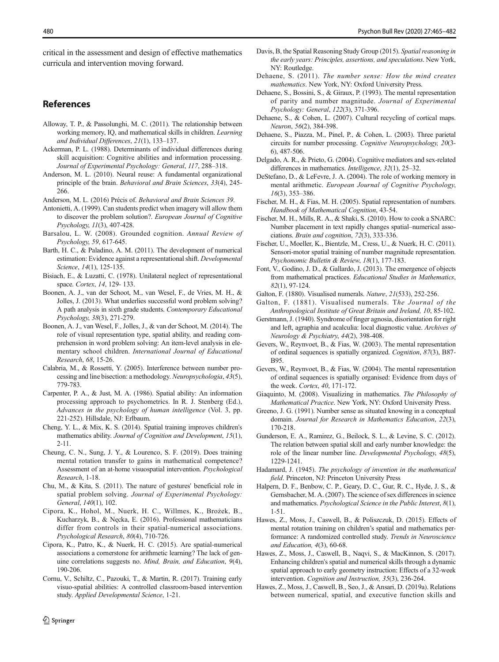<span id="page-16-0"></span>critical in the assessment and design of effective mathematics curricula and intervention moving forward.

#### References

- Alloway, T. P., & Passolunghi, M. C. (2011). The relationship between working memory, IQ, and mathematical skills in children. Learning and Individual Differences, 21(1), 133–137.
- Ackerman, P. L. (1988). Determinants of individual differences during skill acquisition: Cognitive abilities and information processing. Journal of Experimental Psychology: General, 117, 288–318.
- Anderson, M. L. (2010). Neural reuse: A fundamental organizational principle of the brain. Behavioral and Brain Sciences, 33(4), 245- 266.
- Anderson, M. L. (2016) Précis of. Behavioral and Brain Sciences 39.
- Antonietti, A. (1999). Can students predict when imagery will allow them to discover the problem solution?. European Journal of Cognitive Psychology, 11(3), 407-428.
- Barsalou, L. W. (2008). Grounded cognition. Annual Review of Psychology, 59, 617-645.
- Barth, H. C., & Paladino, A. M. (2011). The development of numerical estimation: Evidence against a representational shift. Developmental Science, 14(1), 125-135.
- Bisiach, E., & Luzatti, C. (1978). Unilateral neglect of representational space. Cortex, 14, 129- 133.
- Boonen, A. J., van der Schoot, M., van Wesel, F., de Vries, M. H., & Jolles, J. (2013). What underlies successful word problem solving? A path analysis in sixth grade students. Contemporary Educational Psychology, 38(3), 271-279.
- Boonen, A. J., van Wesel, F., Jolles, J., & van der Schoot, M. (2014). The role of visual representation type, spatial ability, and reading comprehension in word problem solving: An item-level analysis in elementary school children. International Journal of Educational Research, 68, 15-26.
- Calabria, M., & Rossetti, Y. (2005). Interference between number processing and line bisection: a methodology. Neuropsychologia, 43(5), 779-783.
- Carpenter, P. A., & Just, M. A. (1986). Spatial ability: An information processing approach to psychometrics. In R. J. Stenberg (Ed.), Advances in the psychology of human intelligence (Vol. 3, pp. 221-252). Hillsdale, NJ: Erlbaum.
- Cheng, Y. L., & Mix, K. S. (2014). Spatial training improves children's mathematics ability. Journal of Cognition and Development, 15(1), 2-11.
- Cheung, C. N., Sung, J. Y., & Lourenco, S. F. (2019). Does training mental rotation transfer to gains in mathematical competence? Assessment of an at-home visuospatial intervention. Psychological Research, 1-18.
- Chu, M., & Kita, S. (2011). The nature of gestures' beneficial role in spatial problem solving. Journal of Experimental Psychology: General, 140(1), 102.
- Cipora, K., Hohol, M., Nuerk, H. C., Willmes, K., Brożek, B., Kucharzyk, B., & Nęcka, E. (2016). Professional mathematicians differ from controls in their spatial-numerical associations. Psychological Research, 80(4), 710-726.
- Cipora, K., Patro, K., & Nuerk, H. C. (2015). Are spatial-numerical associations a cornerstone for arithmetic learning? The lack of genuine correlations suggests no. Mind, Brain, and Education, 9(4), 190-206.
- Cornu, V., Schiltz, C., Pazouki, T., & Martin, R. (2017). Training early visuo-spatial abilities: A controlled classroom-based intervention study. Applied Developmental Science, 1-21.
- Davis, B, the Spatial Reasoning Study Group (2015). Spatial reasoning in the early years: Principles, assertions, and speculations. New York, NY: Routledge.
- Dehaene, S. (2011). The number sense: How the mind creates mathematics. New York, NY: Oxford University Press.
- Dehaene, S., Bossini, S., & Giraux, P. (1993). The mental representation of parity and number magnitude. Journal of Experimental Psychology: General, 122(3), 371-396.
- Dehaene, S., & Cohen, L. (2007). Cultural recycling of cortical maps. Neuron, 56(2), 384-398.
- Dehaene, S., Piazza, M., Pinel, P., & Cohen, L. (2003). Three parietal circuits for number processing. Cognitive Neuropsychology, 20(3- 6), 487-506.
- Delgado, A. R., & Prieto, G. (2004). Cognitive mediators and sex-related differences in mathematics. Intelligence, 32(1), 25–32.
- DeStefano, D., & LeFevre, J. A. (2004). The role of working memory in mental arithmetic. European Journal of Cognitive Psychology, 16(3), 353–386.
- Fischer, M. H., & Fias, M. H. (2005). Spatial representation of numbers. Handbook of Mathematical Cognition, 43-54.
- Fischer, M. H., Mills, R. A., & Shaki, S. (2010). How to cook a SNARC: Number placement in text rapidly changes spatial–numerical associations. Brain and cognition, 72(3), 333-336.
- Fischer, U., Moeller, K., Bientzle, M., Cress, U., & Nuerk, H. C. (2011). Sensori-motor spatial training of number magnitude representation. Psychonomic Bulletin & Review, 18(1), 177-183.
- Font, V., Godino, J. D., & Gallardo, J. (2013). The emergence of objects from mathematical practices. Educational Studies in Mathematics, 82(1), 97-124.
- Galton, F. (1880). Visualised numerals. Nature, 21(533), 252-256.
- Galton, F. (1881). Visualised numerals. The Journal of the Anthropological Institute of Great Britain and Ireland, 10, 85-102.
- Gerstmann, J. (1940). Syndrome of finger agnosia, disorientation for right and left, agraphia and acalculia: local diagnostic value. Archives of Neurology & Psychiatry, 44(2), 398-408.
- Gevers, W., Reynvoet, B., & Fias, W. (2003). The mental representation of ordinal sequences is spatially organized. Cognition, 87(3), B87- B95.
- Gevers, W., Reynvoet, B., & Fias, W. (2004). The mental representation of ordinal sequences is spatially organised: Evidence from days of the week. Cortex, 40, 171-172.
- Giaquinto, M. (2008). Visualizing in mathematics. The Philosophy of Mathematical Practice. New York, NY: Oxford University Press.
- Greeno, J. G. (1991). Number sense as situated knowing in a conceptual domain. Journal for Research in Mathematics Education, 22(3), 170-218.
- Gunderson, E. A., Ramirez, G., Beilock, S. L., & Levine, S. C. (2012). The relation between spatial skill and early number knowledge: the role of the linear number line. Developmental Psychology, 48(5), 1229-1241.
- Hadamard, J. (1945). The psychology of invention in the mathematical field. Princeton, NJ: Princeton University Press
- Halpern, D. F., Benbow, C. P., Geary, D. C., Gur, R. C., Hyde, J. S., & Gernsbacher, M. A. (2007). The science of sex differences in science and mathematics. Psychological Science in the Public Interest, 8(1), 1-51.
- Hawes, Z., Moss, J., Caswell, B., & Poliszczuk, D. (2015). Effects of mental rotation training on children's spatial and mathematics performance: A randomized controlled study. Trends in Neuroscience and Education, 4(3), 60-68.
- Hawes, Z., Moss, J., Caswell, B., Naqvi, S., & MacKinnon, S. (2017). Enhancing children's spatial and numerical skills through a dynamic spatial approach to early geometry instruction: Effects of a 32-week intervention. Cognition and Instruction, 35(3), 236-264.
- Hawes, Z., Moss, J., Caswell, B., Seo, J., & Ansari, D. (2019a). Relations between numerical, spatial, and executive function skills and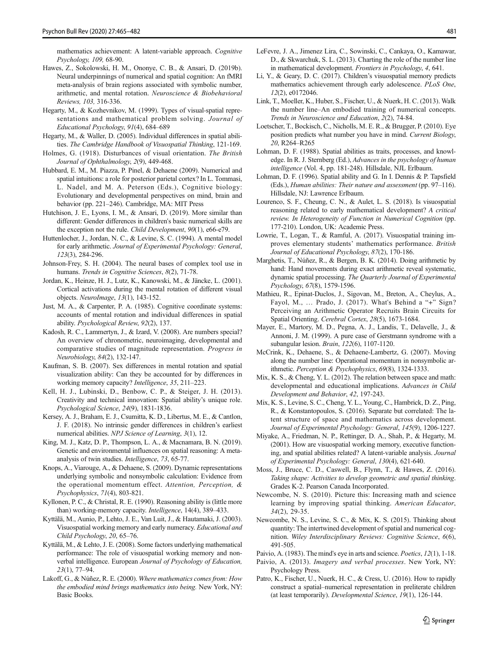<span id="page-17-0"></span>mathematics achievement: A latent-variable approach. Cognitive Psychology, 109, 68-90.

- Hawes, Z., Sokolowski, H. M., Ononye, C. B., & Ansari, D. (2019b). Neural underpinnings of numerical and spatial cognition: An fMRI meta-analysis of brain regions associated with symbolic number, arithmetic, and mental rotation. Neuroscience & Biobehavioral Reviews, 103, 316-336.
- Hegarty, M., & Kozhevnikov, M. (1999). Types of visual-spatial representations and mathematical problem solving. Journal of Educational Psychology, 91(4), 684–689
- Hegarty, M., & Waller, D. (2005). Individual differences in spatial abilities. The Cambridge Handbook of Visuospatial Thinking, 121-169.
- Holmes, G. (1918). Disturbances of visual orientation. The British Journal of Ophthalmology, 2(9), 449-468.
- Hubbard, E. M., M. Piazza, P. Pinel, & Dehaene (2009). Numerical and spatial intuitions: a role for posterior parietal cortex? In L. Tommasi, L. Nadel, and M. A. Peterson (Eds.), Cognitive biology: Evolutionary and developmental perspectives on mind, brain and behavior (pp. 221–246). Cambridge, MA: MIT Press
- Hutchison, J. E., Lyons, I. M., & Ansari, D. (2019). More similar than different: Gender differences in children's basic numerical skills are the exception not the rule. Child Development, 90(1), e66-e79.
- Huttenlocher, J., Jordan, N. C., & Levine, S. C. (1994). A mental model for early arithmetic. Journal of Experimental Psychology: General, 123(3), 284-296.
- Johnson-Frey, S. H. (2004). The neural bases of complex tool use in humans. Trends in Cognitive Sciences, 8(2), 71-78.
- Jordan, K., Heinze, H. J., Lutz, K., Kanowski, M., & Jäncke, L. (2001). Cortical activations during the mental rotation of different visual objects. NeuroImage, 13(1), 143-152.
- Just, M. A., & Carpenter, P. A. (1985). Cognitive coordinate systems: accounts of mental rotation and individual differences in spatial ability. Psychological Review, 92(2), 137.
- Kadosh, R. C., Lammertyn, J., & Izard, V. (2008). Are numbers special? An overview of chronometric, neuroimaging, developmental and comparative studies of magnitude representation. Progress in Neurobiology, 84(2), 132-147.
- Kaufman, S. B. (2007). Sex differences in mental rotation and spatial visualization ability: Can they be accounted for by differences in working memory capacity? Intelligence, 35, 211–223.
- Kell, H. J., Lubinski, D., Benbow, C. P., & Steiger, J. H. (2013). Creativity and technical innovation: Spatial ability's unique role. Psychological Science, 24(9), 1831-1836.
- Kersey, A. J., Braham, E. J., Csumitta, K. D., Libertus, M. E., & Cantlon, J. F. (2018). No intrinsic gender differences in children's earliest numerical abilities. NPJ Science of Learning, 3(1), 12.
- King, M. J., Katz, D. P., Thompson, L. A., & Macnamara, B. N. (2019). Genetic and environmental influences on spatial reasoning: A metaanalysis of twin studies. Intelligence, 73, 65-77.
- Knops, A., Viarouge, A., & Dehaene, S. (2009). Dynamic representations underlying symbolic and nonsymbolic calculation: Evidence from the operational momentum effect. Attention, Perception, & Psychophysics, 71(4), 803-821.
- Kyllonen, P. C., & Christal, R. E. (1990). Reasoning ability is (little more than) working-memory capacity. Intelligence, 14(4), 389-433.
- Kyttälä, M., Aunio, P., Lehto, J. E., Van Luit, J., & Hautamaki, J. (2003). Visuospatial working memory and early numeracy. Educational and Child Psychology, 20, 65–76.
- Kyttälä, M., & Lehto, J. E. (2008). Some factors underlying mathematical performance: The role of visuospatial working memory and nonverbal intelligence. European Journal of Psychology of Education, 23(1), 77–94.
- Lakoff, G., & Núñez, R. E. (2000). Where mathematics comes from: How the embodied mind brings mathematics into being. New York, NY: Basic Books.
- LeFevre, J. A., Jimenez Lira, C., Sowinski, C., Cankaya, O., Kamawar, D., & Skwarchuk, S. L. (2013). Charting the role of the number line in mathematical development. Frontiers in Psychology, 4, 641.
- Li, Y., & Geary, D. C. (2017). Children's visuospatial memory predicts mathematics achievement through early adolescence. PLoS One, 12(2), e0172046.
- Link, T., Moeller, K., Huber, S., Fischer, U., & Nuerk, H. C. (2013). Walk the number line–An embodied training of numerical concepts. Trends in Neuroscience and Education, 2(2), 74-84.
- Loetscher, T., Bockisch, C., Nicholls, M. E. R., & Brugger, P. (2010). Eye position predicts what number you have in mind. Current Biology, 20, R264–R265
- Lohman, D. F. (1988). Spatial abilities as traits, processes, and knowledge. In R. J. Sternberg (Ed.), Advances in the psychology of human intelligence (Vol. 4, pp. 181-248). Hillsdale, NJL Erlbaum.
- Lohman, D. F. (1996). Spatial ability and G. In I. Dennis & P. Tapsfield (Eds.), Human abilities: Their nature and assessment (pp. 97–116). Hillsdale, NJ: Lawrence Erlbaum.
- Lourenco, S. F., Cheung, C. N., & Aulet, L. S. (2018). Is visuospatial reasoning related to early mathematical development? A critical review. In Heterogeneity of Function in Numerical Cognition (pp. 177-210). London, UK: Academic Press.
- Lowrie, T., Logan, T., & Ramful, A. (2017). Visuospatial training improves elementary students' mathematics performance. British Journal of Educational Psychology, 87(2), 170-186.
- Marghetis, T., Núñez, R., & Bergen, B. K. (2014). Doing arithmetic by hand: Hand movements during exact arithmetic reveal systematic, dynamic spatial processing. The Quarterly Journal of Experimental Psychology, 67(8), 1579-1596.
- Mathieu, R., Epinat-Duclos, J., Sigovan, M., Breton, A., Cheylus, A., Fayol, M., … Prado, J. (2017). What's Behind a "+" Sign? Perceiving an Arithmetic Operator Recruits Brain Circuits for Spatial Orienting. Cerebral Cortex, 28(5), 1673-1684.
- Mayer, E., Martory, M. D., Pegna, A. J., Landis, T., Delavelle, J., & Annoni, J. M. (1999). A pure case of Gerstmann syndrome with a subangular lesion. Brain, 122(6), 1107-1120.
- McCrink, K., Dehaene, S., & Dehaene-Lambertz, G. (2007). Moving along the number line: Operational momentum in nonsymbolic arithmetic. Perception & Psychophysics, 69(8), 1324-1333.
- Mix, K. S., & Cheng, Y. L. (2012). The relation between space and math: developmental and educational implications. Advances in Child Development and Behavior, 42, 197-243.
- Mix, K. S., Levine, S. C., Cheng, Y. L., Young, C., Hambrick, D. Z., Ping, R., & Konstantopoulos, S. (2016). Separate but correlated: The latent structure of space and mathematics across development. Journal of Experimental Psychology: General, 145(9), 1206-1227.
- Miyake, A., Friedman, N. P., Rettinger, D. A., Shah, P., & Hegarty, M. (2001). How are visuospatial working memory, executive functioning, and spatial abilities related? A latent-variable analysis. Journal of Experimental Psychology: General, 130(4), 621-640.
- Moss, J., Bruce, C. D., Caswell, B., Flynn, T., & Hawes, Z. (2016). Taking shape: Activities to develop geometric and spatial thinking. Grades K-2. Pearson Canada Incorporated.
- Newcombe, N. S. (2010). Picture this: Increasing math and science learning by improving spatial thinking. American Educator, 34(2), 29-35.
- Newcombe, N. S., Levine, S. C., & Mix, K. S. (2015). Thinking about quantity: The intertwined development of spatial and numerical cognition. Wiley Interdisciplinary Reviews: Cognitive Science, 6(6), 491-505.
- Paivio, A. (1983). The mind's eye in arts and science. Poetics, 12(1), 1-18.
- Paivio, A. (2013). Imagery and verbal processes. New York, NY: Psychology Press.
- Patro, K., Fischer, U., Nuerk, H. C., & Cress, U. (2016). How to rapidly construct a spatial–numerical representation in preliterate children (at least temporarily). Developmental Science, 19(1), 126-144.